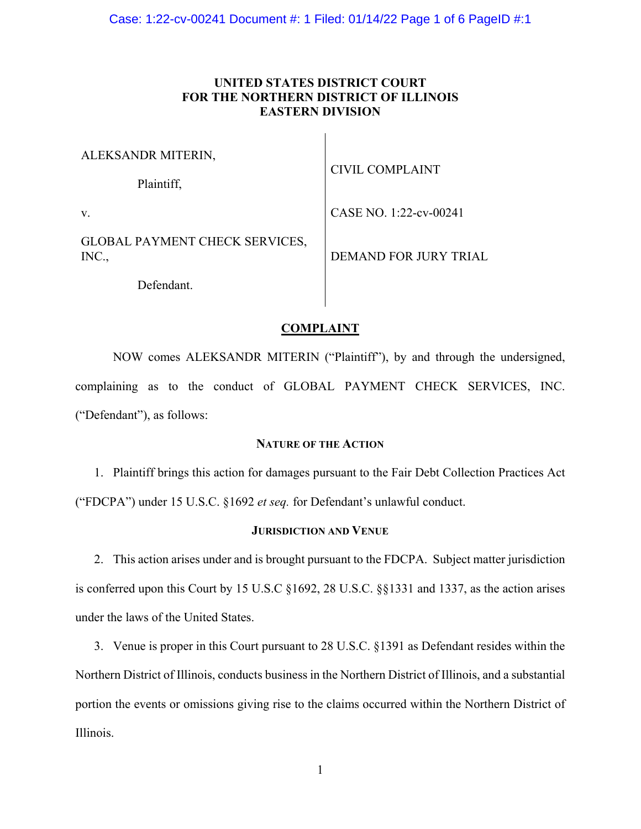# **UNITED STATES DISTRICT COURT FOR THE NORTHERN DISTRICT OF ILLINOIS EASTERN DIVISION**

 $\mathbf{L}$ 

| ALEKSANDR MITERIN,                             |                              |
|------------------------------------------------|------------------------------|
| Plaintiff,                                     | CIVIL COMPLAINT              |
| V.                                             | CASE NO. 1:22-cv-00241       |
| <b>GLOBAL PAYMENT CHECK SERVICES,</b><br>INC., | <b>DEMAND FOR JURY TRIAL</b> |
| Defendant                                      |                              |

# **COMPLAINT**

 NOW comes ALEKSANDR MITERIN ("Plaintiff"), by and through the undersigned, complaining as to the conduct of GLOBAL PAYMENT CHECK SERVICES, INC. ("Defendant"), as follows:

# **NATURE OF THE ACTION**

1. Plaintiff brings this action for damages pursuant to the Fair Debt Collection Practices Act ("FDCPA") under 15 U.S.C. §1692 *et seq.* for Defendant's unlawful conduct.

# **JURISDICTION AND VENUE**

2. This action arises under and is brought pursuant to the FDCPA. Subject matter jurisdiction is conferred upon this Court by 15 U.S.C §1692, 28 U.S.C. §§1331 and 1337, as the action arises under the laws of the United States.

3. Venue is proper in this Court pursuant to 28 U.S.C. §1391 as Defendant resides within the Northern District of Illinois, conducts business in the Northern District of Illinois, and a substantial portion the events or omissions giving rise to the claims occurred within the Northern District of Illinois.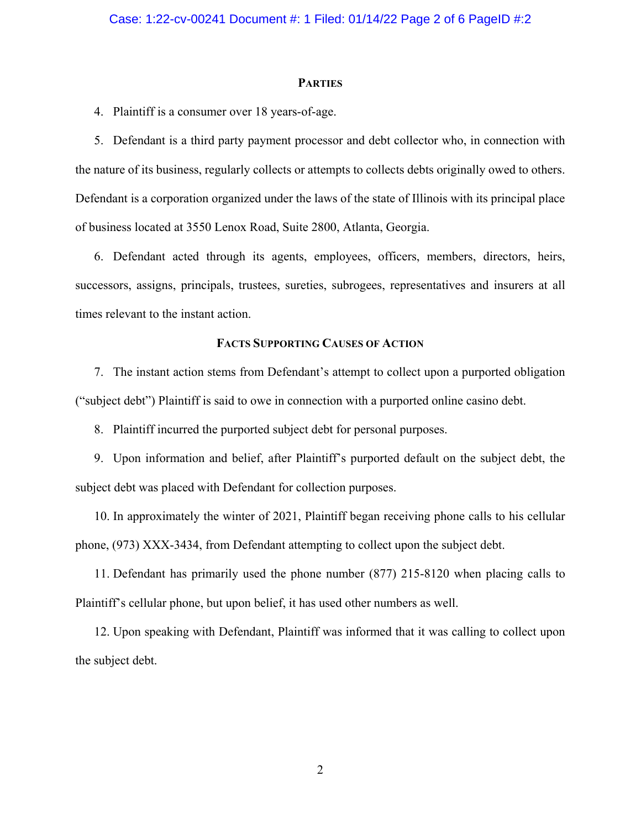## **PARTIES**

4. Plaintiff is a consumer over 18 years-of-age.

5. Defendant is a third party payment processor and debt collector who, in connection with the nature of its business, regularly collects or attempts to collects debts originally owed to others. Defendant is a corporation organized under the laws of the state of Illinois with its principal place of business located at 3550 Lenox Road, Suite 2800, Atlanta, Georgia.

6. Defendant acted through its agents, employees, officers, members, directors, heirs, successors, assigns, principals, trustees, sureties, subrogees, representatives and insurers at all times relevant to the instant action.

## **FACTS SUPPORTING CAUSES OF ACTION**

7. The instant action stems from Defendant's attempt to collect upon a purported obligation ("subject debt") Plaintiff is said to owe in connection with a purported online casino debt.

8. Plaintiff incurred the purported subject debt for personal purposes.

9. Upon information and belief, after Plaintiff's purported default on the subject debt, the subject debt was placed with Defendant for collection purposes.

10. In approximately the winter of 2021, Plaintiff began receiving phone calls to his cellular phone, (973) XXX-3434, from Defendant attempting to collect upon the subject debt.

11. Defendant has primarily used the phone number (877) 215-8120 when placing calls to Plaintiff's cellular phone, but upon belief, it has used other numbers as well.

12. Upon speaking with Defendant, Plaintiff was informed that it was calling to collect upon the subject debt.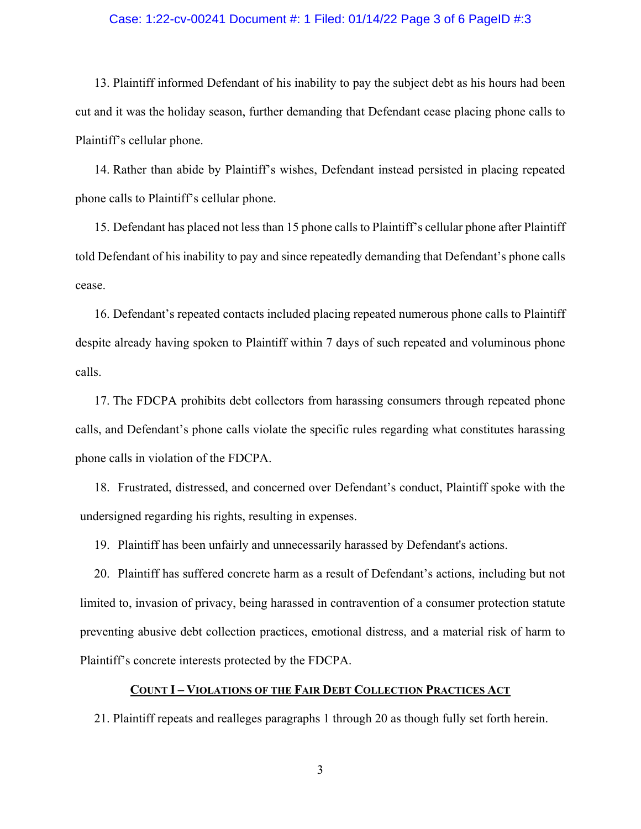### Case: 1:22-cv-00241 Document #: 1 Filed: 01/14/22 Page 3 of 6 PageID #:3

13. Plaintiff informed Defendant of his inability to pay the subject debt as his hours had been cut and it was the holiday season, further demanding that Defendant cease placing phone calls to Plaintiff's cellular phone.

14. Rather than abide by Plaintiff's wishes, Defendant instead persisted in placing repeated phone calls to Plaintiff's cellular phone.

15. Defendant has placed not less than 15 phone calls to Plaintiff's cellular phone after Plaintiff told Defendant of his inability to pay and since repeatedly demanding that Defendant's phone calls cease.

16. Defendant's repeated contacts included placing repeated numerous phone calls to Plaintiff despite already having spoken to Plaintiff within 7 days of such repeated and voluminous phone calls.

17. The FDCPA prohibits debt collectors from harassing consumers through repeated phone calls, and Defendant's phone calls violate the specific rules regarding what constitutes harassing phone calls in violation of the FDCPA.

18. Frustrated, distressed, and concerned over Defendant's conduct, Plaintiff spoke with the undersigned regarding his rights, resulting in expenses.

19. Plaintiff has been unfairly and unnecessarily harassed by Defendant's actions.

20. Plaintiff has suffered concrete harm as a result of Defendant's actions, including but not limited to, invasion of privacy, being harassed in contravention of a consumer protection statute preventing abusive debt collection practices, emotional distress, and a material risk of harm to Plaintiff's concrete interests protected by the FDCPA.

## **COUNT I – VIOLATIONS OF THE FAIR DEBT COLLECTION PRACTICES ACT**

21. Plaintiff repeats and realleges paragraphs 1 through 20 as though fully set forth herein.

3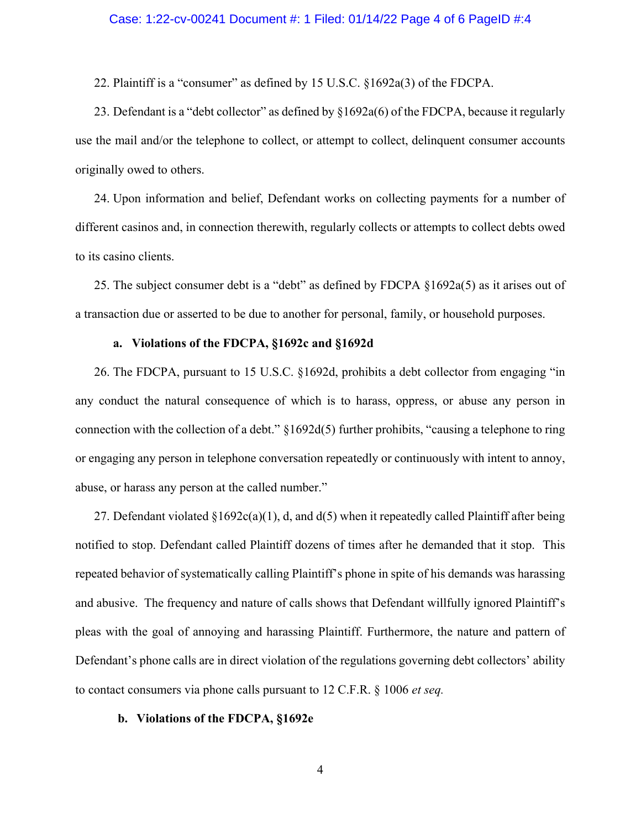## Case: 1:22-cv-00241 Document #: 1 Filed: 01/14/22 Page 4 of 6 PageID #:4

22. Plaintiff is a "consumer" as defined by 15 U.S.C. §1692a(3) of the FDCPA.

23. Defendant is a "debt collector" as defined by §1692a(6) of the FDCPA, because it regularly use the mail and/or the telephone to collect, or attempt to collect, delinquent consumer accounts originally owed to others.

24. Upon information and belief, Defendant works on collecting payments for a number of different casinos and, in connection therewith, regularly collects or attempts to collect debts owed to its casino clients.

25. The subject consumer debt is a "debt" as defined by FDCPA §1692a(5) as it arises out of a transaction due or asserted to be due to another for personal, family, or household purposes.

### **a. Violations of the FDCPA, §1692c and §1692d**

26. The FDCPA, pursuant to 15 U.S.C. §1692d, prohibits a debt collector from engaging "in any conduct the natural consequence of which is to harass, oppress, or abuse any person in connection with the collection of a debt." §1692d(5) further prohibits, "causing a telephone to ring or engaging any person in telephone conversation repeatedly or continuously with intent to annoy, abuse, or harass any person at the called number."

27. Defendant violated  $\S 1692c(a)(1)$ , d, and  $d(5)$  when it repeatedly called Plaintiff after being notified to stop. Defendant called Plaintiff dozens of times after he demanded that it stop. This repeated behavior of systematically calling Plaintiff's phone in spite of his demands was harassing and abusive. The frequency and nature of calls shows that Defendant willfully ignored Plaintiff's pleas with the goal of annoying and harassing Plaintiff. Furthermore, the nature and pattern of Defendant's phone calls are in direct violation of the regulations governing debt collectors' ability to contact consumers via phone calls pursuant to 12 C.F.R. § 1006 *et seq.*

#### **b. Violations of the FDCPA, §1692e**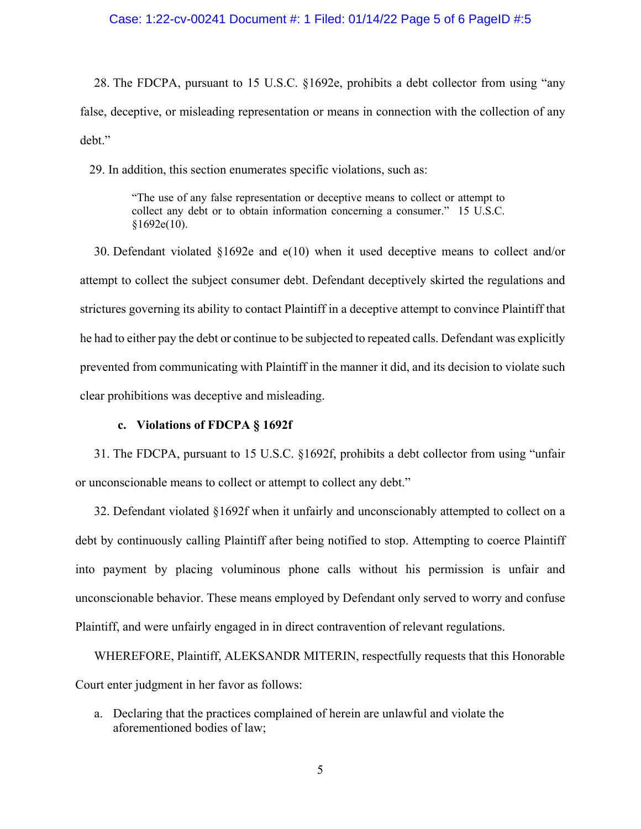# Case: 1:22-cv-00241 Document #: 1 Filed: 01/14/22 Page 5 of 6 PageID #:5

28. The FDCPA, pursuant to 15 U.S.C. §1692e, prohibits a debt collector from using "any false, deceptive, or misleading representation or means in connection with the collection of any debt."

29. In addition, this section enumerates specific violations, such as:

"The use of any false representation or deceptive means to collect or attempt to collect any debt or to obtain information concerning a consumer." 15 U.S.C.  $§1692e(10).$ 

30. Defendant violated §1692e and e(10) when it used deceptive means to collect and/or attempt to collect the subject consumer debt. Defendant deceptively skirted the regulations and strictures governing its ability to contact Plaintiff in a deceptive attempt to convince Plaintiff that he had to either pay the debt or continue to be subjected to repeated calls. Defendant was explicitly prevented from communicating with Plaintiff in the manner it did, and its decision to violate such clear prohibitions was deceptive and misleading.

## **c. Violations of FDCPA § 1692f**

31. The FDCPA, pursuant to 15 U.S.C. §1692f, prohibits a debt collector from using "unfair or unconscionable means to collect or attempt to collect any debt."

32. Defendant violated §1692f when it unfairly and unconscionably attempted to collect on a debt by continuously calling Plaintiff after being notified to stop. Attempting to coerce Plaintiff into payment by placing voluminous phone calls without his permission is unfair and unconscionable behavior. These means employed by Defendant only served to worry and confuse Plaintiff, and were unfairly engaged in in direct contravention of relevant regulations.

WHEREFORE, Plaintiff, ALEKSANDR MITERIN, respectfully requests that this Honorable Court enter judgment in her favor as follows:

a. Declaring that the practices complained of herein are unlawful and violate the aforementioned bodies of law;